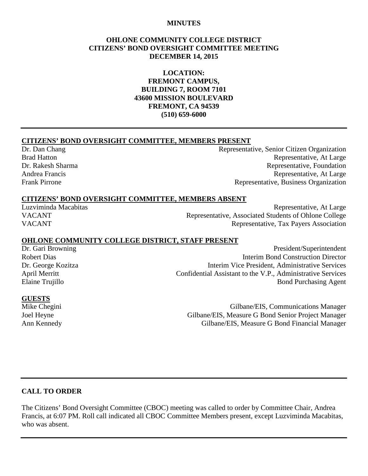#### **MINUTES**

#### **OHLONE COMMUNITY COLLEGE DISTRICT CITIZENS' BOND OVERSIGHT COMMITTEE MEETING DECEMBER 14, 2015**

**LOCATION: FREMONT CAMPUS, BUILDING 7, ROOM 7101 43600 MISSION BOULEVARD FREMONT, CA 94539 (510) 659-6000**

#### **CITIZENS' BOND OVERSIGHT COMMITTEE, MEMBERS PRESENT**

Dr. Dan Chang Representative, Senior Citizen Organization Brad Hatton Representative, At Large Dr. Rakesh Sharma Representative, Foundation Andrea Francis Representative, At Large Frank Pirrone Representative, Business Organization

#### **CITIZENS' BOND OVERSIGHT COMMITTEE, MEMBERS ABSENT**

Luzviminda Macabitas Representative, At Large VACANT Representative, Associated Students of Ohlone College VACANT Representative, Tax Payers Association

#### **OHLONE COMMUNITY COLLEGE DISTRICT, STAFF PRESENT**

Dr. Gari Browning President/Superintendent Robert Dias **Interim Bond Construction Director** Dr. George Kozitza Interim Vice President, Administrative Services Confidential Assistant to the V.P., Administrative Services Elaine Trujillo **Bond Purchasing Agent** 

#### **GUESTS**

Mike Chegini Gilbane/EIS, Communications Manager Joel Heyne Gilbane/EIS, Measure G Bond Senior Project Manager Ann Kennedy Gilbane/EIS, Measure G Bond Financial Manager

#### **CALL TO ORDER**

The Citizens' Bond Oversight Committee (CBOC) meeting was called to order by Committee Chair, Andrea Francis, at 6:07 PM. Roll call indicated all CBOC Committee Members present, except Luzviminda Macabitas, who was absent.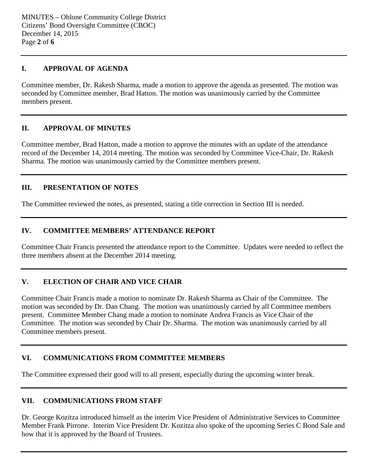#### **I. APPROVAL OF AGENDA**

Committee member, Dr. Rakesh Sharma, made a motion to approve the agenda as presented. The motion was seconded by Committee member, Brad Hatton. The motion was unanimously carried by the Committee members present.

#### **II. APPROVAL OF MINUTES**

Committee member, Brad Hatton, made a motion to approve the minutes with an update of the attendance record of the December 14, 2014 meeting. The motion was seconded by Committee Vice-Chair, Dr. Rakesh Sharma. The motion was unanimously carried by the Committee members present.

# **III. PRESENTATION OF NOTES**

The Committee reviewed the notes, as presented, stating a title correction in Section III is needed.

#### **IV. COMMITTEE MEMBERS' ATTENDANCE REPORT**

Committee Chair Francis presented the attendance report to the Committee. Updates were needed to reflect the three members absent at the December 2014 meeting.

# **V. ELECTION OF CHAIR AND VICE CHAIR**

Committee Chair Francis made a motion to nominate Dr. Rakesh Sharma as Chair of the Committee. The motion was seconded by Dr. Dan Chang. The motion was unanimously carried by all Committee members present. Committee Member Chang made a motion to nominate Andrea Francis as Vice Chair of the Committee. The motion was seconded by Chair Dr. Sharma. The motion was unanimously carried by all Committee members present.

# **VI. COMMUNICATIONS FROM COMMITTEE MEMBERS**

The Committee expressed their good will to all present, especially during the upcoming winter break.

#### **VII. COMMUNICATIONS FROM STAFF**

Dr. George Kozitza introduced himself as the interim Vice President of Administrative Services to Committee Member Frank Pirrone. Interim Vice President Dr. Kozitza also spoke of the upcoming Series C Bond Sale and how that it is approved by the Board of Trustees.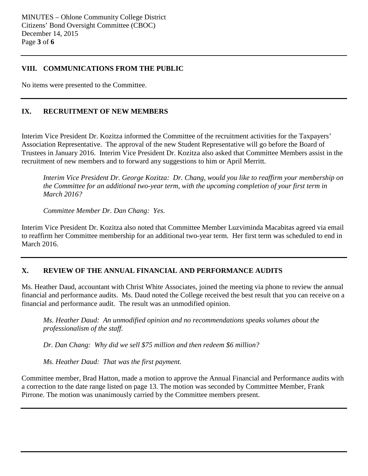# **VIII. COMMUNICATIONS FROM THE PUBLIC**

No items were presented to the Committee.

# **IX. RECRUITMENT OF NEW MEMBERS**

Interim Vice President Dr. Kozitza informed the Committee of the recruitment activities for the Taxpayers' Association Representative. The approval of the new Student Representative will go before the Board of Trustees in January 2016. Interim Vice President Dr. Kozitza also asked that Committee Members assist in the recruitment of new members and to forward any suggestions to him or April Merritt.

*Interim Vice President Dr. George Kozitza: Dr. Chang, would you like to reaffirm your membership on the Committee for an additional two-year term, with the upcoming completion of your first term in March 2016?*

*Committee Member Dr. Dan Chang: Yes.*

Interim Vice President Dr. Kozitza also noted that Committee Member Luzviminda Macabitas agreed via email to reaffirm her Committee membership for an additional two-year term. Her first term was scheduled to end in March 2016.

# **X. REVIEW OF THE ANNUAL FINANCIAL AND PERFORMANCE AUDITS**

Ms. Heather Daud, accountant with Christ White Associates, joined the meeting via phone to review the annual financial and performance audits. Ms. Daud noted the College received the best result that you can receive on a financial and performance audit. The result was an unmodified opinion.

*Ms. Heather Daud: An unmodified opinion and no recommendations speaks volumes about the professionalism of the staff.*

*Dr. Dan Chang: Why did we sell \$75 million and then redeem \$6 million?*

*Ms. Heather Daud: That was the first payment.*

Committee member, Brad Hatton, made a motion to approve the Annual Financial and Performance audits with a correction to the date range listed on page 13. The motion was seconded by Committee Member, Frank Pirrone. The motion was unanimously carried by the Committee members present.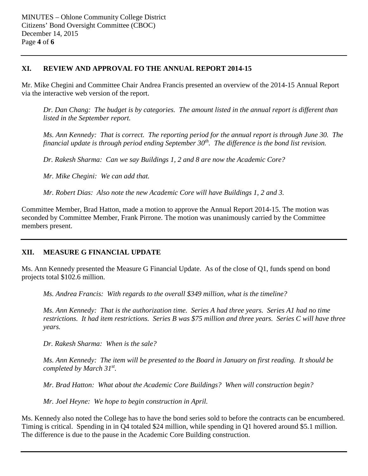# **XI. REVIEW AND APPROVAL FO THE ANNUAL REPORT 2014-15**

Mr. Mike Chegini and Committee Chair Andrea Francis presented an overview of the 2014-15 Annual Report via the interactive web version of the report.

*Dr. Dan Chang: The budget is by categories. The amount listed in the annual report is different than listed in the September report.*

*Ms. Ann Kennedy: That is correct. The reporting period for the annual report is through June 30. The financial update is through period ending September 30th. The difference is the bond list revision.*

*Dr. Rakesh Sharma: Can we say Buildings 1, 2 and 8 are now the Academic Core?*

*Mr. Mike Chegini: We can add that.* 

*Mr. Robert Dias: Also note the new Academic Core will have Buildings 1, 2 and 3.* 

Committee Member, Brad Hatton, made a motion to approve the Annual Report 2014-15. The motion was seconded by Committee Member, Frank Pirrone. The motion was unanimously carried by the Committee members present.

# **XII. MEASURE G FINANCIAL UPDATE**

Ms. Ann Kennedy presented the Measure G Financial Update. As of the close of Q1, funds spend on bond projects total \$102.6 million.

*Ms. Andrea Francis: With regards to the overall \$349 million, what is the timeline?*

*Ms. Ann Kennedy: That is the authorization time. Series A had three years. Series A1 had no time restrictions. It had item restrictions. Series B was \$75 million and three years. Series C will have three years.*

*Dr. Rakesh Sharma: When is the sale?*

*Ms. Ann Kennedy: The item will be presented to the Board in January on first reading. It should be completed by March 31st.*

*Mr. Brad Hatton: What about the Academic Core Buildings? When will construction begin?*

*Mr. Joel Heyne: We hope to begin construction in April.*

Ms. Kennedy also noted the College has to have the bond series sold to before the contracts can be encumbered. Timing is critical. Spending in in Q4 totaled \$24 million, while spending in Q1 hovered around \$5.1 million. The difference is due to the pause in the Academic Core Building construction.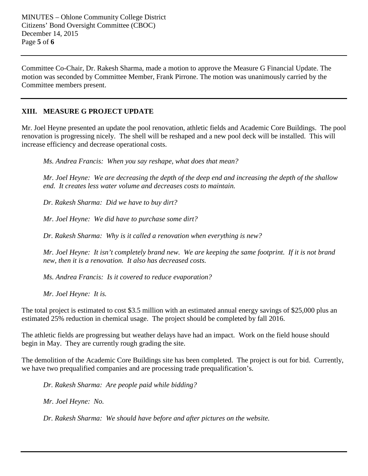Committee Co-Chair, Dr. Rakesh Sharma, made a motion to approve the Measure G Financial Update. The motion was seconded by Committee Member, Frank Pirrone. The motion was unanimously carried by the Committee members present.

# **XIII. MEASURE G PROJECT UPDATE**

Mr. Joel Heyne presented an update the pool renovation, athletic fields and Academic Core Buildings. The pool renovation is progressing nicely. The shell will be reshaped and a new pool deck will be installed. This will increase efficiency and decrease operational costs.

*Ms. Andrea Francis: When you say reshape, what does that mean?*

*Mr. Joel Heyne: We are decreasing the depth of the deep end and increasing the depth of the shallow end. It creates less water volume and decreases costs to maintain.* 

*Dr. Rakesh Sharma: Did we have to buy dirt?*

*Mr. Joel Heyne: We did have to purchase some dirt?*

*Dr. Rakesh Sharma: Why is it called a renovation when everything is new?*

*Mr. Joel Heyne: It isn't completely brand new. We are keeping the same footprint. If it is not brand new, then it is a renovation. It also has decreased costs.* 

*Ms. Andrea Francis: Is it covered to reduce evaporation?*

*Mr. Joel Heyne: It is.* 

The total project is estimated to cost \$3.5 million with an estimated annual energy savings of \$25,000 plus an estimated 25% reduction in chemical usage. The project should be completed by fall 2016.

The athletic fields are progressing but weather delays have had an impact. Work on the field house should begin in May. They are currently rough grading the site.

The demolition of the Academic Core Buildings site has been completed. The project is out for bid. Currently, we have two prequalified companies and are processing trade prequalification's.

*Dr. Rakesh Sharma: Are people paid while bidding?*

*Mr. Joel Heyne: No.* 

*Dr. Rakesh Sharma: We should have before and after pictures on the website.*